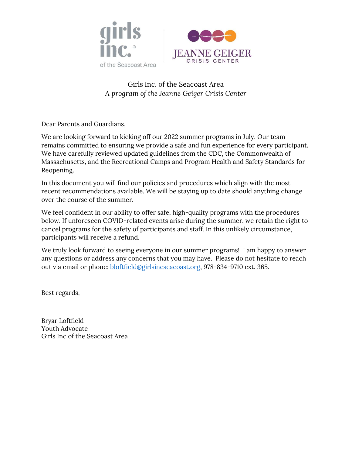

### Girls Inc. of the Seacoast Area A program of the Jeanne Geiger Crisis Center

Dear Parents and Guardians,

We are looking forward to kicking off our 2022 summer programs in July. Our team remains committed to ensuring we provide a safe and fun experience for every participant. We have carefully reviewed updated guidelines from the CDC, the Commonwealth of Massachusetts, and the Recreational Camps and Program Health and Safety Standards for Reopening.

In this document you will find our policies and procedures which align with the most recent recommendations available. We will be staying up to date should anything change over the course of the summer.

We feel confident in our ability to offer safe, high-quality programs with the procedures below. If unforeseen COVID-related events arise during the summer, we retain the right to cancel programs for the safety of participants and staff. In this unlikely circumstance, participants will receive a refund.

We truly look forward to seeing everyone in our summer programs! I am happy to answer any questions or address any concerns that you may have. Please do not hesitate to reach out via email or phone: bloftfield@girlsincseacoast.org, 978-834-9710 ext. 365.

Best regards,

Bryar Loftfield Youth Advocate Girls Inc of the Seacoast Area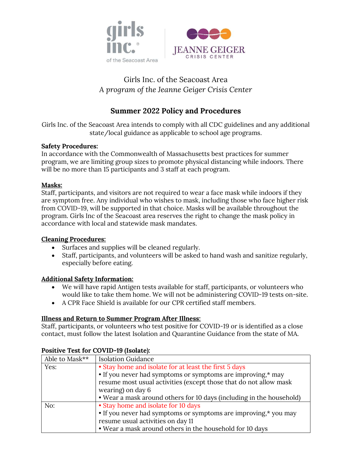

# Girls Inc. of the Seacoast Area A program of the Jeanne Geiger Crisis Center

## Summer 2022 Policy and Procedures

Girls Inc. of the Seacoast Area intends to comply with all CDC guidelines and any additional state/local guidance as applicable to school age programs.

#### Safety Procedures:

In accordance with the Commonwealth of Massachusetts best practices for summer program, we are limiting group sizes to promote physical distancing while indoors. There will be no more than 15 participants and 3 staff at each program.

#### Masks:

Staff, participants, and visitors are not required to wear a face mask while indoors if they are symptom free. Any individual who wishes to mask, including those who face higher risk from COVID-19, will be supported in that choice. Masks will be available throughout the program. Girls Inc of the Seacoast area reserves the right to change the mask policy in accordance with local and statewide mask mandates.

#### Cleaning Procedures:

- Surfaces and supplies will be cleaned regularly.
- Staff, participants, and volunteers will be asked to hand wash and sanitize regularly, especially before eating.

#### Additional Safety Information:

- We will have rapid Antigen tests available for staff, participants, or volunteers who would like to take them home. We will not be administering COVID-19 tests on-site.
- A CPR Face Shield is available for our CPR certified staff members.

#### Illness and Return to Summer Program After Illness:

Staff, participants, or volunteers who test positive for COVID-19 or is identified as a close contact, must follow the latest Isolation and Quarantine Guidance from the state of MA.

| Able to Mask** | <b>Isolation Guidance</b>                                                                                                                                                                                      |  |  |
|----------------|----------------------------------------------------------------------------------------------------------------------------------------------------------------------------------------------------------------|--|--|
| Yes:           | • Stay home and isolate for at least the first 5 days<br>• If you never had symptoms or symptoms are improving,* may<br>resume most usual activities (except those that do not allow mask<br>wearing) on day 6 |  |  |
|                |                                                                                                                                                                                                                |  |  |
|                |                                                                                                                                                                                                                |  |  |
|                |                                                                                                                                                                                                                |  |  |
|                | • Wear a mask around others for 10 days (including in the household)                                                                                                                                           |  |  |
| No:            | • Stay home and isolate for 10 days                                                                                                                                                                            |  |  |
|                | • If you never had symptoms or symptoms are improving,* you may                                                                                                                                                |  |  |
|                | resume usual activities on day 11                                                                                                                                                                              |  |  |
|                | • Wear a mask around others in the household for 10 days                                                                                                                                                       |  |  |

#### Positive Test for COVID-19 (Isolate):